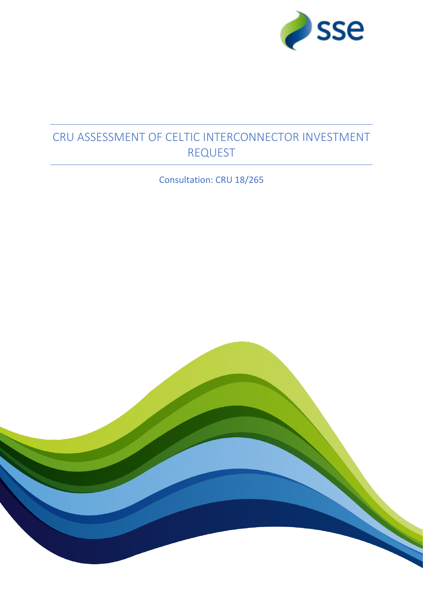

# CRU ASSESSMENT OF CELTIC INTERCONNECTOR INVESTMENT REQUEST

Consultation: CRU 18/265

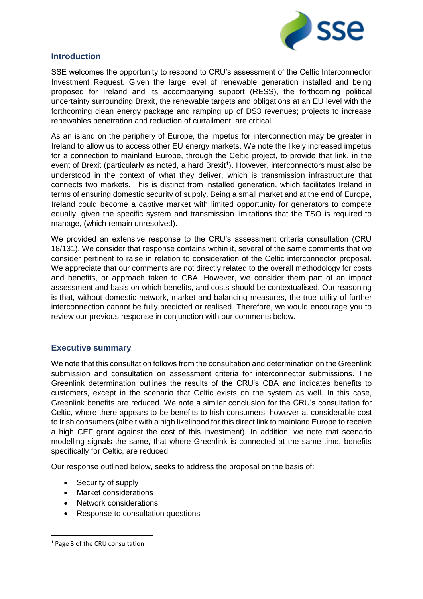

## **Introduction**

SSE welcomes the opportunity to respond to CRU's assessment of the Celtic Interconnector Investment Request. Given the large level of renewable generation installed and being proposed for Ireland and its accompanying support (RESS), the forthcoming political uncertainty surrounding Brexit, the renewable targets and obligations at an EU level with the forthcoming clean energy package and ramping up of DS3 revenues; projects to increase renewables penetration and reduction of curtailment, are critical.

As an island on the periphery of Europe, the impetus for interconnection may be greater in Ireland to allow us to access other EU energy markets. We note the likely increased impetus for a connection to mainland Europe, through the Celtic project, to provide that link, in the event of Brexit (particularly as noted, a hard Brexit<sup>1</sup>). However, interconnectors must also be understood in the context of what they deliver, which is transmission infrastructure that connects two markets. This is distinct from installed generation, which facilitates Ireland in terms of ensuring domestic security of supply. Being a small market and at the end of Europe, Ireland could become a captive market with limited opportunity for generators to compete equally, given the specific system and transmission limitations that the TSO is required to manage, (which remain unresolved).

We provided an extensive response to the CRU's assessment criteria consultation (CRU 18/131). We consider that response contains within it, several of the same comments that we consider pertinent to raise in relation to consideration of the Celtic interconnector proposal. We appreciate that our comments are not directly related to the overall methodology for costs and benefits, or approach taken to CBA. However, we consider them part of an impact assessment and basis on which benefits, and costs should be contextualised. Our reasoning is that, without domestic network, market and balancing measures, the true utility of further interconnection cannot be fully predicted or realised. Therefore, we would encourage you to review our previous response in conjunction with our comments below.

## **Executive summary**

We note that this consultation follows from the consultation and determination on the Greenlink submission and consultation on assessment criteria for interconnector submissions. The Greenlink determination outlines the results of the CRU's CBA and indicates benefits to customers, except in the scenario that Celtic exists on the system as well. In this case, Greenlink benefits are reduced. We note a similar conclusion for the CRU's consultation for Celtic, where there appears to be benefits to Irish consumers, however at considerable cost to Irish consumers (albeit with a high likelihood for this direct link to mainland Europe to receive a high CEF grant against the cost of this investment). In addition, we note that scenario modelling signals the same, that where Greenlink is connected at the same time, benefits specifically for Celtic, are reduced.

Our response outlined below, seeks to address the proposal on the basis of:

- Security of supply
- Market considerations
- Network considerations
- Response to consultation questions

**.** 

<sup>1</sup> Page 3 of the CRU consultation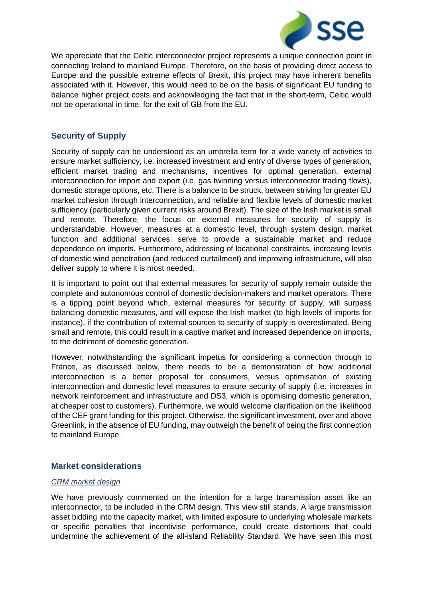

We appreciate that the Celtic interconnector project represents a unique connection point in connecting Ireland to mainland Europe. Therefore, on the basis of providing direct access to Europe and the possible extreme effects of Brexit, this project may have inherent benefits associated with it. However, this would need to be on the basis of significant EU funding to balance higher project costs and acknowledging the fact that in the short-term, Celtic would not be operational in time, for the exit of GB from the EU.

## **Security of Supply**

Security of supply can be understood as an umbrella term for a wide variety of activities to ensure market sufficiency, i.e. increased investment and entry of diverse types of generation, efficient market trading and mechanisms, incentives for optimal generation, external interconnection for import and export (i.e. gas twinning versus interconnector trading flows), domestic storage options, etc. There is a balance to be struck, between striving for greater EU market cohesion through interconnection, and reliable and flexible levels of domestic market sufficiency (particularly given current risks around Brexit). The size of the Irish market is small and remote. Therefore, the focus on external measures for security of supply is understandable. However, measures at a domestic level, through system design, market function and additional services, serve to provide a sustainable market and reduce dependence on imports. Furthermore, addressing of locational constraints, increasing levels of domestic wind penetration (and reduced curtailment) and improving infrastructure, will also deliver supply to where it is most needed.

It is important to point out that external measures for security of supply remain outside the complete and autonomous control of domestic decision-makers and market operators. There is a tipping point beyond which, external measures for security of supply, will surpass balancing domestic measures, and will expose the Irish market (to high levels of imports for instance), if the contribution of external sources to security of supply is overestimated. Being small and remote, this could result in a captive market and increased dependence on imports, to the detriment of domestic generation.

However, notwithstanding the significant impetus for considering a connection through to France, as discussed below, there needs to be a demonstration of how additional interconnection is a better proposal for consumers, versus optimisation of existing interconnection and domestic level measures to ensure security of supply (i.e. increases in network reinforcement and infrastructure and DS3, which is optimising domestic generation, at cheaper cost to customers). Furthermore, we would welcome clarification on the likelihood of the CEF grant funding for this project. Otherwise, the significant investment, over and above Greenlink, in the absence of EU funding, may outweigh the benefit of being the first connection to mainland Europe.

## **Market considerations**

## *CRM market design*

We have previously commented on the intention for a large transmission asset like an interconnector, to be included in the CRM design. This view still stands. A large transmission asset bidding into the capacity market, with limited exposure to underlying wholesale markets or specific penalties that incentivise performance, could create distortions that could undermine the achievement of the all-island Reliability Standard. We have seen this most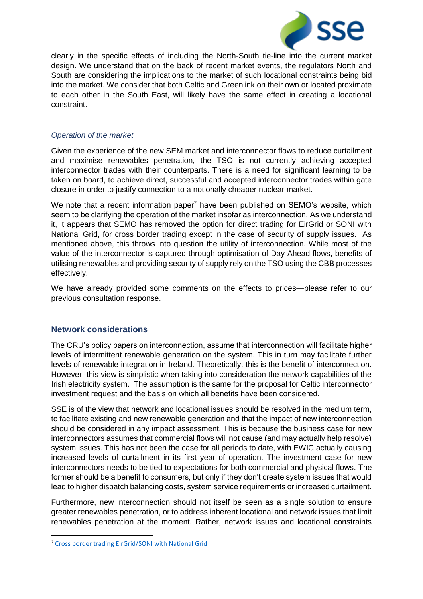

clearly in the specific effects of including the North-South tie-line into the current market design. We understand that on the back of recent market events, the regulators North and South are considering the implications to the market of such locational constraints being bid into the market. We consider that both Celtic and Greenlink on their own or located proximate to each other in the South East, will likely have the same effect in creating a locational constraint.

## *Operation of the market*

Given the experience of the new SEM market and interconnector flows to reduce curtailment and maximise renewables penetration, the TSO is not currently achieving accepted interconnector trades with their counterparts. There is a need for significant learning to be taken on board, to achieve direct, successful and accepted interconnector trades within gate closure in order to justify connection to a notionally cheaper nuclear market.

We note that a recent information paper<sup>2</sup> have been published on SEMO's website, which seem to be clarifying the operation of the market insofar as interconnection. As we understand it, it appears that SEMO has removed the option for direct trading for EirGrid or SONI with National Grid, for cross border trading except in the case of security of supply issues. As mentioned above, this throws into question the utility of interconnection. While most of the value of the interconnector is captured through optimisation of Day Ahead flows, benefits of utilising renewables and providing security of supply rely on the TSO using the CBB processes effectively.

We have already provided some comments on the effects to prices—please refer to our previous consultation response.

## **Network considerations**

The CRU's policy papers on interconnection, assume that interconnection will facilitate higher levels of intermittent renewable generation on the system. This in turn may facilitate further levels of renewable integration in Ireland. Theoretically, this is the benefit of interconnection. However, this view is simplistic when taking into consideration the network capabilities of the Irish electricity system. The assumption is the same for the proposal for Celtic interconnector investment request and the basis on which all benefits have been considered.

SSE is of the view that network and locational issues should be resolved in the medium term, to facilitate existing and new renewable generation and that the impact of new interconnection should be considered in any impact assessment. This is because the business case for new interconnectors assumes that commercial flows will not cause (and may actually help resolve) system issues. This has not been the case for all periods to date, with EWIC actually causing increased levels of curtailment in its first year of operation. The investment case for new interconnectors needs to be tied to expectations for both commercial and physical flows. The former should be a benefit to consumers, but only if they don't create system issues that would lead to higher dispatch balancing costs, system service requirements or increased curtailment.

Furthermore, new interconnection should not itself be seen as a single solution to ensure greater renewables penetration, or to address inherent locational and network issues that limit renewables penetration at the moment. Rather, network issues and locational constraints

**.** 

<sup>2</sup> [Cross border trading EirGrid/SONI with National Grid](https://www.sem-o.com/documents/general-publications/BP_SO_11.2_CBB_Trading_between_EirGrid_SONI_and_NGET.pdf)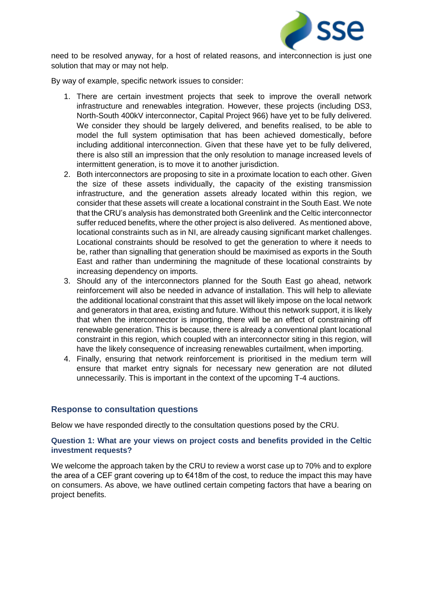

need to be resolved anyway, for a host of related reasons, and interconnection is just one solution that may or may not help.

By way of example, specific network issues to consider:

- 1. There are certain investment projects that seek to improve the overall network infrastructure and renewables integration. However, these projects (including DS3, North-South 400kV interconnector, Capital Project 966) have yet to be fully delivered. We consider they should be largely delivered, and benefits realised, to be able to model the full system optimisation that has been achieved domestically, before including additional interconnection. Given that these have yet to be fully delivered, there is also still an impression that the only resolution to manage increased levels of intermittent generation, is to move it to another jurisdiction.
- 2. Both interconnectors are proposing to site in a proximate location to each other. Given the size of these assets individually, the capacity of the existing transmission infrastructure, and the generation assets already located within this region, we consider that these assets will create a locational constraint in the South East. We note that the CRU's analysis has demonstrated both Greenlink and the Celtic interconnector suffer reduced benefits, where the other project is also delivered. As mentioned above, locational constraints such as in NI, are already causing significant market challenges. Locational constraints should be resolved to get the generation to where it needs to be, rather than signalling that generation should be maximised as exports in the South East and rather than undermining the magnitude of these locational constraints by increasing dependency on imports.
- 3. Should any of the interconnectors planned for the South East go ahead, network reinforcement will also be needed in advance of installation. This will help to alleviate the additional locational constraint that this asset will likely impose on the local network and generators in that area, existing and future. Without this network support, it is likely that when the interconnector is importing, there will be an effect of constraining off renewable generation. This is because, there is already a conventional plant locational constraint in this region, which coupled with an interconnector siting in this region, will have the likely consequence of increasing renewables curtailment, when importing.
- 4. Finally, ensuring that network reinforcement is prioritised in the medium term will ensure that market entry signals for necessary new generation are not diluted unnecessarily. This is important in the context of the upcoming T-4 auctions.

## **Response to consultation questions**

Below we have responded directly to the consultation questions posed by the CRU.

## **Question 1: What are your views on project costs and benefits provided in the Celtic investment requests?**

We welcome the approach taken by the CRU to review a worst case up to 70% and to explore the area of a CEF grant covering up to  $\epsilon$ 418m of the cost, to reduce the impact this may have on consumers. As above, we have outlined certain competing factors that have a bearing on project benefits.